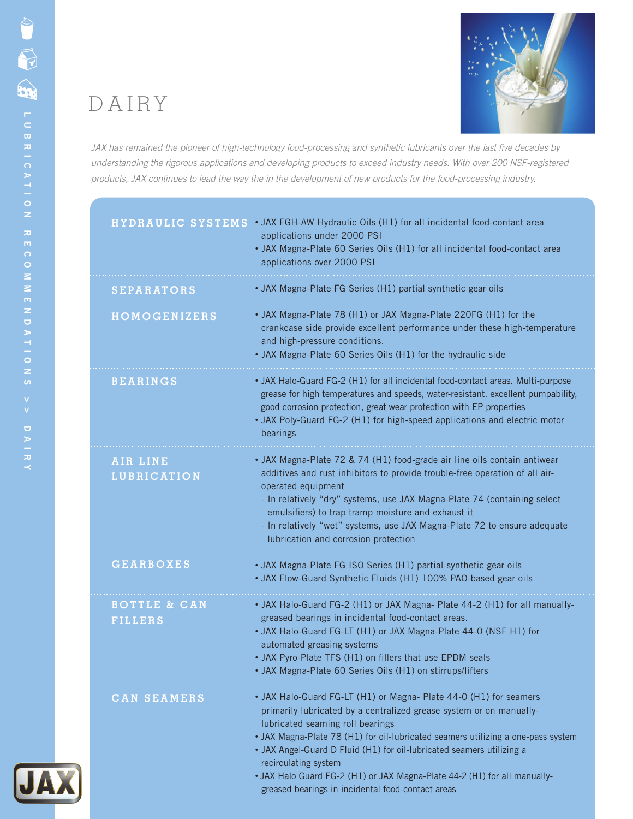

*JAX has remained the pioneer of high-technology food-processing and synthetic lubricants over the last five decades by understanding the rigorous applications and developing products to exceed industry needs. With over 200 NSF-registered products, JAX continues to lead the way the in the development of new products for the food-processing industry.* 

| HYDRAULIC SYSTEMS                         | • JAX FGH-AW Hydraulic Oils (H1) for all incidental food-contact area<br>applications under 2000 PSI<br>• JAX Magna-Plate 60 Series Oils (H1) for all incidental food-contact area<br>applications over 2000 PSI                                                                                                                                                                                                                                                                                    |
|-------------------------------------------|-----------------------------------------------------------------------------------------------------------------------------------------------------------------------------------------------------------------------------------------------------------------------------------------------------------------------------------------------------------------------------------------------------------------------------------------------------------------------------------------------------|
| <b>SEPARATORS</b>                         | • JAX Magna-Plate FG Series (H1) partial synthetic gear oils                                                                                                                                                                                                                                                                                                                                                                                                                                        |
| <b>HOMOGENIZERS</b>                       | • JAX Magna-Plate 78 (H1) or JAX Magna-Plate 220FG (H1) for the<br>crankcase side provide excellent performance under these high-temperature<br>and high-pressure conditions.<br>• JAX Magna-Plate 60 Series Oils (H1) for the hydraulic side                                                                                                                                                                                                                                                       |
| <b>BEARINGS</b>                           | • JAX Halo-Guard FG-2 (H1) for all incidental food-contact areas. Multi-purpose<br>grease for high temperatures and speeds, water-resistant, excellent pumpability,<br>good corrosion protection, great wear protection with EP properties<br>• JAX Poly-Guard FG-2 (H1) for high-speed applications and electric motor<br>bearings                                                                                                                                                                 |
| AIR LINE<br><b>LUBRICATION</b>            | • JAX Magna-Plate 72 & 74 (H1) food-grade air line oils contain antiwear<br>additives and rust inhibitors to provide trouble-free operation of all air-<br>operated equipment<br>- In relatively "dry" systems, use JAX Magna-Plate 74 (containing select<br>emulsifiers) to trap tramp moisture and exhaust it<br>- In relatively "wet" systems, use JAX Magna-Plate 72 to ensure adequate<br>lubrication and corrosion protection                                                                 |
| <b>GEARBOXES</b>                          | • JAX Magna-Plate FG ISO Series (H1) partial-synthetic gear oils<br>• JAX Flow-Guard Synthetic Fluids (H1) 100% PAO-based gear oils                                                                                                                                                                                                                                                                                                                                                                 |
| <b>BOTTLE &amp; CAN</b><br><b>FILLERS</b> | • JAX Halo-Guard FG-2 (H1) or JAX Magna- Plate 44-2 (H1) for all manually-<br>greased bearings in incidental food-contact areas.<br>• JAX Halo-Guard FG-LT (H1) or JAX Magna-Plate 44-0 (NSF H1) for<br>automated greasing systems<br>• JAX Pyro-Plate TFS (H1) on fillers that use EPDM seals<br>• JAX Magna-Plate 60 Series Oils (H1) on stirrups/lifters                                                                                                                                         |
| <b>CAN SEAMERS</b>                        | • JAX Halo-Guard FG-LT (H1) or Magna- Plate 44-0 (H1) for seamers<br>primarily lubricated by a centralized grease system or on manually-<br>lubricated seaming roll bearings<br>• JAX Magna-Plate 78 (H1) for oil-lubricated seamers utilizing a one-pass system<br>• JAX Angel-Guard D Fluid (H1) for oil-lubricated seamers utilizing a<br>recirculating system<br>• JAX Halo Guard FG-2 (H1) or JAX Magna-Plate 44-2 (H1) for all manually-<br>greased bearings in incidental food-contact areas |
|                                           |                                                                                                                                                                                                                                                                                                                                                                                                                                                                                                     |

**JAX**